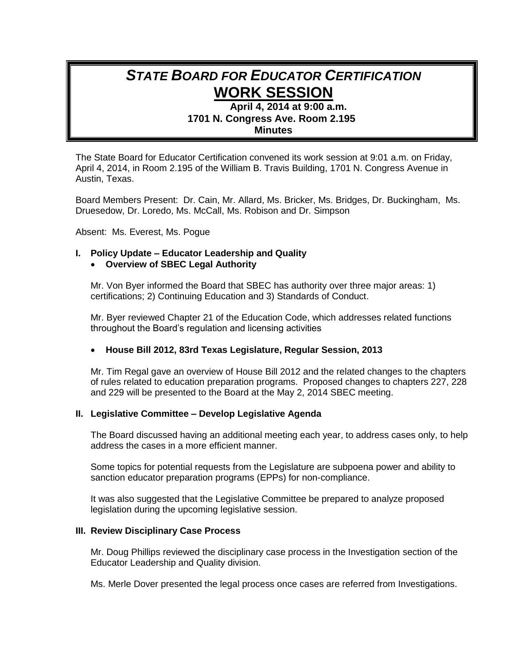# *STATE BOARD FOR EDUCATOR CERTIFICATION* **WORK SESSION**

# **April 4, 2014 at 9:00 a.m. 1701 N. Congress Ave. Room 2.195 Minutes**

The State Board for Educator Certification convened its work session at 9:01 a.m. on Friday, April 4, 2014, in Room 2.195 of the William B. Travis Building, 1701 N. Congress Avenue in Austin, Texas.

Board Members Present: Dr. Cain, Mr. Allard, Ms. Bricker, Ms. Bridges, Dr. Buckingham, Ms. Druesedow, Dr. Loredo, Ms. McCall, Ms. Robison and Dr. Simpson

Absent: Ms. Everest, Ms. Pogue

## **I. Policy Update – Educator Leadership and Quality**

## **Overview of SBEC Legal Authority**

Mr. Von Byer informed the Board that SBEC has authority over three major areas: 1) certifications; 2) Continuing Education and 3) Standards of Conduct.

Mr. Byer reviewed Chapter 21 of the Education Code, which addresses related functions throughout the Board's regulation and licensing activities

## **House Bill 2012, 83rd Texas Legislature, Regular Session, 2013**

Mr. Tim Regal gave an overview of House Bill 2012 and the related changes to the chapters of rules related to education preparation programs. Proposed changes to chapters 227, 228 and 229 will be presented to the Board at the May 2, 2014 SBEC meeting.

## **II. Legislative Committee – Develop Legislative Agenda**

The Board discussed having an additional meeting each year, to address cases only, to help address the cases in a more efficient manner.

Some topics for potential requests from the Legislature are subpoena power and ability to sanction educator preparation programs (EPPs) for non-compliance.

It was also suggested that the Legislative Committee be prepared to analyze proposed legislation during the upcoming legislative session.

#### **III. Review Disciplinary Case Process**

Mr. Doug Phillips reviewed the disciplinary case process in the Investigation section of the Educator Leadership and Quality division.

Ms. Merle Dover presented the legal process once cases are referred from Investigations.